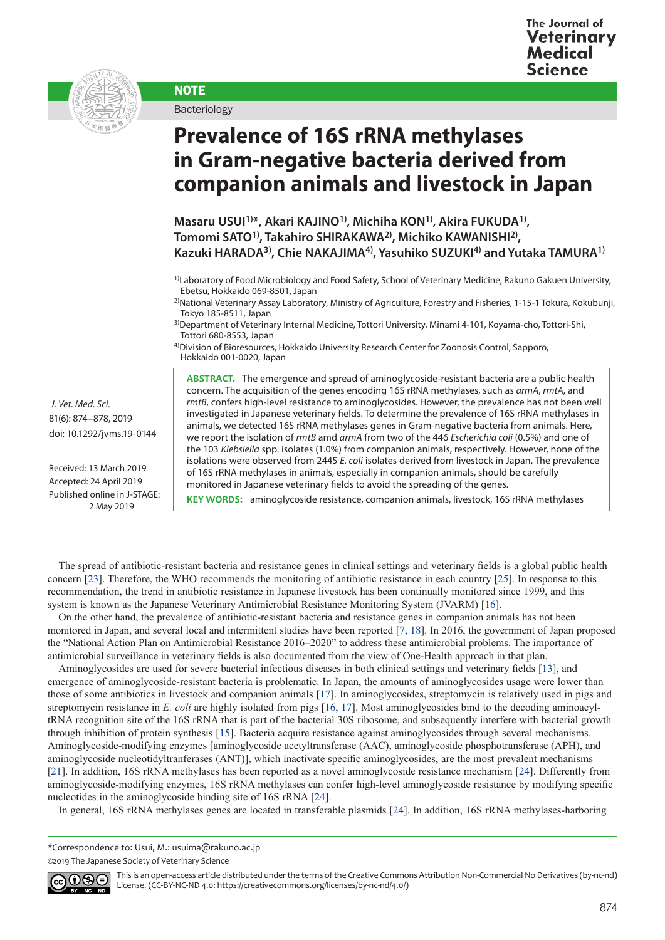

**NOTE** Bacteriology

## **Prevalence of 16S rRNA methylases in Gram-negative bacteria derived from companion animals and livestock in Japan**

**Masaru USUI1)\*, Akari KAJINO1), Michiha KON1), Akira FUKUDA1), Tomomi SATO1), Takahiro SHIRAKAWA2), Michiko KAWANISHI2), Kazuki HARADA3), Chie NAKAJIMA4), Yasuhiko SUZUKI4) and Yutaka TAMURA1)**

3)Department of Veterinary Internal Medicine, Tottori University, Minami 4-101, Koyama-cho, Tottori-Shi, Tottori 680-8553, Japan

4)Division of Bioresources, Hokkaido University Research Center for Zoonosis Control, Sapporo, Hokkaido 001-0020, Japan

 *J. Vet. Med. Sci.*  81(6): 874–878, 2019 doi: 10.1292/jvms.19-0144

Received: 13 March 2019 Accepted: 24 April 2019 Published online in J-STAGE: 2 May 2019

**ABSTRACT.** The emergence and spread of aminoglycoside-resistant bacteria are a public health concern. The acquisition of the genes encoding 16S rRNA methylases, such as *armA*, *rmtA*, and *rmtB*, confers high-level resistance to aminoglycosides. However, the prevalence has not been well investigated in Japanese veterinary fields. To determine the prevalence of 16S rRNA methylases in animals, we detected 16S rRNA methylases genes in Gram-negative bacteria from animals. Here, we report the isolation of *rmtB* amd *armA* from two of the 446 *Escherichia coli* (0.5%) and one of the 103 *Klebsiella* spp. isolates (1.0%) from companion animals, respectively. However, none of the isolations were observed from 2445 *E. coli* isolates derived from livestock in Japan. The prevalence of 16S rRNA methylases in animals, especially in companion animals, should be carefully monitored in Japanese veterinary fields to avoid the spreading of the genes.

**KEY WORDS:** aminoglycoside resistance, companion animals, livestock, 16S rRNA methylases

The spread of antibiotic-resistant bacteria and resistance genes in clinical settings and veterinary fields is a global public health concern [[23](#page-4-0)]. Therefore, the WHO recommends the monitoring of antibiotic resistance in each country [[25](#page-4-1)]. In response to this recommendation, the trend in antibiotic resistance in Japanese livestock has been continually monitored since 1999, and this system is known as the Japanese Veterinary Antimicrobial Resistance Monitoring System (JVARM) [[16](#page-3-0)].

On the other hand, the prevalence of antibiotic-resistant bacteria and resistance genes in companion animals has not been monitored in Japan, and several local and intermittent studies have been reported [[7, 18\]](#page-3-1). In 2016, the government of Japan proposed the "National Action Plan on Antimicrobial Resistance 2016–2020" to address these antimicrobial problems. The importance of antimicrobial surveillance in veterinary fields is also documented from the view of One-Health approach in that plan.

Aminoglycosides are used for severe bacterial infectious diseases in both clinical settings and veterinary fields [\[13](#page-3-2)], and emergence of aminoglycoside-resistant bacteria is problematic. In Japan, the amounts of aminoglycosides usage were lower than those of some antibiotics in livestock and companion animals [[17](#page-3-3)]. In aminoglycosides, streptomycin is relatively used in pigs and streptomycin resistance in *E. coli* are highly isolated from pigs [[16, 17](#page-3-0)]. Most aminoglycosides bind to the decoding aminoacyltRNA recognition site of the 16S rRNA that is part of the bacterial 30S ribosome, and subsequently interfere with bacterial growth through inhibition of protein synthesis [\[15](#page-3-4)]. Bacteria acquire resistance against aminoglycosides through several mechanisms. Aminoglycoside-modifying enzymes [aminoglycoside acetyltransferase (AAC), aminoglycoside phosphotransferase (APH), and aminoglycoside nucleotidyltranferases (ANT)], which inactivate specific aminoglycosides, are the most prevalent mechanisms [[21](#page-4-2)]. In addition, 16S rRNA methylases has been reported as a novel aminoglycoside resistance mechanism [[24](#page-4-3)]. Differently from aminoglycoside-modifying enzymes, 16S rRNA methylases can confer high-level aminoglycoside resistance by modifying specific nucleotides in the aminoglycoside binding site of 16S rRNA [[24](#page-4-3)].

In general, 16S rRNA methylases genes are located in transferable plasmids [[24](#page-4-3)]. In addition, 16S rRNA methylases-harboring

\*Correspondence to: Usui, M.: usuima@rakuno.ac.jp

<sup>©2019</sup> The Japanese Society of Veterinary Science



This is an open-access article distributed under the terms of the Creative Commons Attribution Non-Commercial No Derivatives (by-nc-nd) License. (CC-BY-NC-ND 4.0: <https://creativecommons.org/licenses/by-nc-nd/4.0/>)

<sup>&</sup>lt;sup>1)</sup>Laboratory of Food Microbiology and Food Safety, School of Veterinary Medicine, Rakuno Gakuen University, Ebetsu, Hokkaido 069-8501, Japan

<sup>2)</sup>National Veterinary Assay Laboratory, Ministry of Agriculture, Forestry and Fisheries, 1-15-1 Tokura, Kokubunji, Tokyo 185-8511, Japan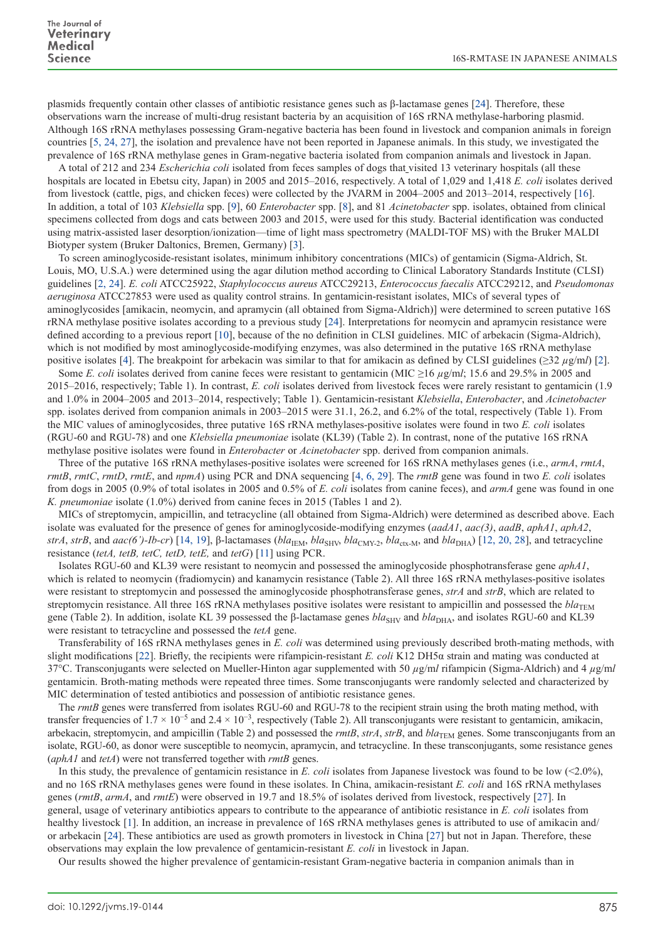plasmids frequently contain other classes of antibiotic resistance genes such as β-lactamase genes [[24](#page-4-3)]. Therefore, these observations warn the increase of multi-drug resistant bacteria by an acquisition of 16S rRNA methylase-harboring plasmid. Although 16S rRNA methylases possessing Gram-negative bacteria has been found in livestock and companion animals in foreign countries [[5, 24, 27](#page-3-5)], the isolation and prevalence have not been reported in Japanese animals. In this study, we investigated the prevalence of 16S rRNA methylase genes in Gram-negative bacteria isolated from companion animals and livestock in Japan.

A total of 212 and 234 *Escherichia coli* isolated from feces samples of dogs that visited 13 veterinary hospitals (all these hospitals are located in Ebetsu city, Japan) in 2005 and 2015–2016, respectively. A total of 1,029 and 1,418 *E. coli* isolates derived from livestock (cattle, pigs, and chicken feces) were collected by the JVARM in 2004–2005 and 2013–2014, respectively [[16](#page-3-0)]. In addition, a total of 103 *Klebsiella* spp. [[9\]](#page-3-6), 60 *Enterobacter* spp. [[8\]](#page-3-7), and 81 *Acinetobacter* spp. isolates, obtained from clinical specimens collected from dogs and cats between 2003 and 2015, were used for this study. Bacterial identification was conducted using matrix-assisted laser desorption/ionization—time of light mass spectrometry (MALDI-TOF MS) with the Bruker MALDI Biotyper system (Bruker Daltonics, Bremen, Germany) [[3](#page-3-8)].

To screen aminoglycoside-resistant isolates, minimum inhibitory concentrations (MICs) of gentamicin (Sigma-Aldrich, St. Louis, MO, U.S.A.) were determined using the agar dilution method according to Clinical Laboratory Standards Institute (CLSI) guidelines [[2, 24](#page-3-9)]. *E. coli* ATCC25922, *Staphylococcus aureus* ATCC29213, *Enterococcus faecalis* ATCC29212, and *Pseudomonas aeruginosa* ATCC27853 were used as quality control strains. In gentamicin-resistant isolates, MICs of several types of aminoglycosides [amikacin, neomycin, and apramycin (all obtained from Sigma-Aldrich)] were determined to screen putative 16S rRNA methylase positive isolates according to a previous study [[24](#page-4-3)]. Interpretations for neomycin and apramycin resistance were defined according to a previous report [\[10\]](#page-3-10), because of the no definition in CLSI guidelines. MIC of arbekacin (Sigma-Aldrich), which is not modified by most aminoglycoside-modifying enzymes, was also determined in the putative 16S rRNA methylase positive isolates [\[4](#page-3-11)]. The breakpoint for arbekacin was similar to that for amikacin as defined by CLSI guidelines (≥32 *µ*g/m*l*) [[2](#page-3-9)].

Some *E. coli* isolates derived from canine feces were resistant to gentamicin (MIC ≥16  $\mu$ g/m*l*; 15.6 and 29.5% in 2005 and 2015–2016, respectively; Table 1). In contrast, *E. coli* isolates derived from livestock feces were rarely resistant to gentamicin (1.9 and 1.0% in 2004–2005 and 2013–2014, respectively; Table 1). Gentamicin-resistant *Klebsiella*, *Enterobacter*, and *Acinetobacter* spp. isolates derived from companion animals in 2003–2015 were 31.1, 26.2, and 6.2% of the total, respectively (Table 1). From the MIC values of aminoglycosides, three putative 16S rRNA methylases-positive isolates were found in two *E. coli* isolates (RGU-60 and RGU-78) and one *Klebsiella pneumoniae* isolate (KL39) (Table 2). In contrast, none of the putative 16S rRNA methylase positive isolates were found in *Enterobacter* or *Acinetobacter* spp. derived from companion animals.

Three of the putative 16S rRNA methylases-positive isolates were screened for 16S rRNA methylases genes (i.e., *armA*, *rmtA*, *rmtB*, *rmtC*, *rmtD*, *rmtE*, and *npmA*) using PCR and DNA sequencing [\[4, 6, 29](#page-3-11)]. The *rmtB* gene was found in two *E. coli* isolates from dogs in 2005 (0.9% of total isolates in 2005 and 0.5% of *E. coli* isolates from canine feces), and *armA* gene was found in one *K. pneumoniae* isolate (1.0%) derived from canine feces in 2015 (Tables 1 and 2).

MICs of streptomycin, ampicillin, and tetracycline (all obtained from Sigma-Aldrich) were determined as described above. Each isolate was evaluated for the presence of genes for aminoglycoside-modifying enzymes (*aadA1*, *aac(3)*, *aadB*, *aphA1*, *aphA2*, *strA*, *strB*, and *aac(6')-Ib-cr*) [[14, 19\]](#page-3-12), β-lactamases (*bla*<sub>IEM</sub>, *bla*<sub>CMY-2</sub>, *bla*<sub>CMY-2</sub>, *bla*<sub>CMY-2</sub>, *bla*<sub>DHA</sub>) [[12, 20, 28](#page-3-13)], and tetracycline resistance (*tetA, tetB, tetC, tetD, tetE,* and *tetG*) [[11\]](#page-3-14) using PCR.

Isolates RGU-60 and KL39 were resistant to neomycin and possessed the aminoglycoside phosphotransferase gene *aphA1*, which is related to neomycin (fradiomycin) and kanamycin resistance (Table 2). All three 16S rRNA methylases-positive isolates were resistant to streptomycin and possessed the aminoglycoside phosphotransferase genes, *strA* and *strB*, which are related to streptomycin resistance. All three 16S rRNA methylases positive isolates were resistant to ampicillin and possessed the  $bla_{\text{TEM}}$ gene (Table 2). In addition, isolate KL 39 possessed the β-lactamase genes *bla*<sub>SHV</sub> and *bla*<sub>DHA</sub>, and isolates RGU-60 and KL39 were resistant to tetracycline and possessed the *tetA* gene.

Transferability of 16S rRNA methylases genes in *E. coli* was determined using previously described broth-mating methods, with slight modifications [[22](#page-4-4)]. Briefly, the recipients were rifampicin-resistant *E. coli* K12 DH5α strain and mating was conducted at 37°C. Transconjugants were selected on Mueller-Hinton agar supplemented with 50 *µ*g/m*l* rifampicin (Sigma-Aldrich) and 4 *µ*g/m*l* gentamicin. Broth-mating methods were repeated three times. Some transconjugants were randomly selected and characterized by MIC determination of tested antibiotics and possession of antibiotic resistance genes.

The *rmtB* genes were transferred from isolates RGU-60 and RGU-78 to the recipient strain using the broth mating method, with transfer frequencies of  $1.7 \times 10^{-5}$  and  $2.4 \times 10^{-3}$ , respectively (Table 2). All transconjugants were resistant to gentamicin, amikacin, arbekacin, streptomycin, and ampicillin (Table 2) and possessed the *rmtB*,  $strA$ ,  $strB$ , and  $bla$ <sub>TEM</sub> genes. Some transconjugants from an isolate, RGU-60, as donor were susceptible to neomycin, apramycin, and tetracycline. In these transconjugants, some resistance genes (*aphA1* and *tetA*) were not transferred together with *rmtB* genes.

In this study, the prevalence of gentamicin resistance in *E. coli* isolates from Japanese livestock was found to be low (<2.0%), and no 16S rRNA methylases genes were found in these isolates. In China, amikacin-resistant *E. coli* and 16S rRNA methylases genes (*rmtB*, *armA*, and *rmtE*) were observed in 19.7 and 18.5% of isolates derived from livestock, respectively [[27\]](#page-4-5). In general, usage of veterinary antibiotics appears to contribute to the appearance of antibiotic resistance in *E. coli* isolates from healthy livestock [[1\]](#page-3-15). In addition, an increase in prevalence of 16S rRNA methylases genes is attributed to use of amikacin and/ or arbekacin [\[24](#page-4-3)]. These antibiotics are used as growth promoters in livestock in China [[27](#page-4-5)] but not in Japan. Therefore, these observations may explain the low prevalence of gentamicin-resistant *E. coli* in livestock in Japan.

Our results showed the higher prevalence of gentamicin-resistant Gram-negative bacteria in companion animals than in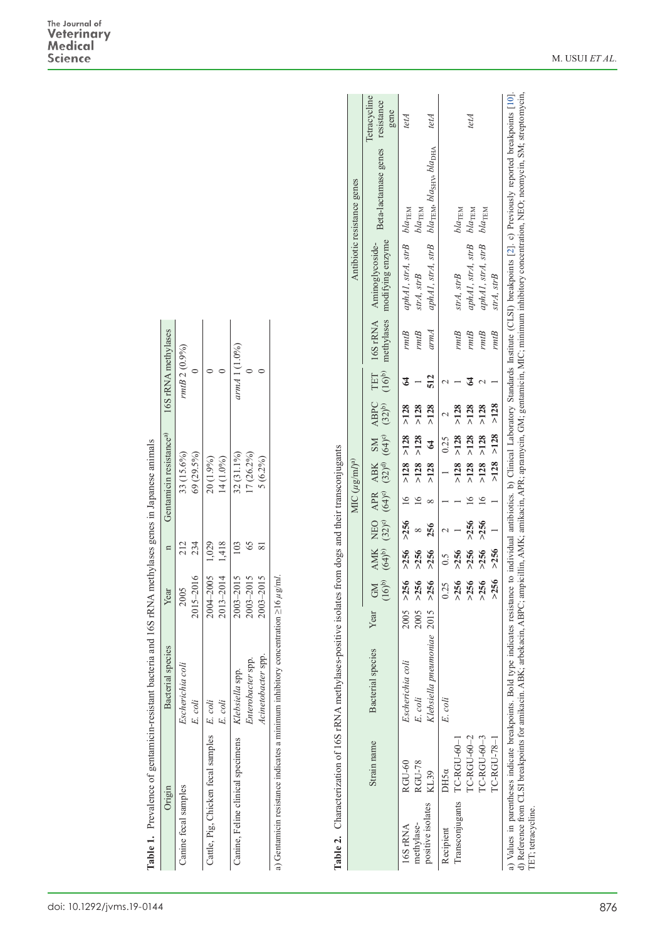| 69 (29.5%)<br>33 (15.6%)<br>32 (31.1%)<br>$7(26.2\%)$<br>14 (1.0%)<br>$20(1.9\%)$<br>234<br>212<br>2013-2014 1,418<br>2004-2005 1,029<br>2015-2016<br>2003-2015<br>2003-2015<br>2005<br>Year<br><b>Bacterial</b> species<br>Enterobacter spp.<br>Escherichia coli<br>spp.<br>Klebsiella<br>E. coli<br>E. coli<br>Cattle, Pig, Chicken fecal samples E. coli<br>anine, Feline clinical specimens<br>Janine fecal samples<br>Origin |                                                         |
|-----------------------------------------------------------------------------------------------------------------------------------------------------------------------------------------------------------------------------------------------------------------------------------------------------------------------------------------------------------------------------------------------------------------------------------|---------------------------------------------------------|
|                                                                                                                                                                                                                                                                                                                                                                                                                                   | Gentamicin resistance <sup>a)</sup> 16S rRNA methylases |
|                                                                                                                                                                                                                                                                                                                                                                                                                                   | rmtB 2 (0.9%                                            |
|                                                                                                                                                                                                                                                                                                                                                                                                                                   |                                                         |
|                                                                                                                                                                                                                                                                                                                                                                                                                                   |                                                         |
|                                                                                                                                                                                                                                                                                                                                                                                                                                   |                                                         |
|                                                                                                                                                                                                                                                                                                                                                                                                                                   | armA 1 (1.0%)                                           |
|                                                                                                                                                                                                                                                                                                                                                                                                                                   |                                                         |
| $5(6.2\%)$<br>2003-2015<br>Acinetobacter spp.                                                                                                                                                                                                                                                                                                                                                                                     |                                                         |

| i                    |
|----------------------|
| $\frac{1}{2}$<br>I   |
|                      |
|                      |
|                      |
|                      |
| $\overline{a}$       |
|                      |
|                      |
|                      |
|                      |
|                      |
|                      |
|                      |
|                      |
|                      |
|                      |
|                      |
|                      |
|                      |
|                      |
|                      |
|                      |
|                      |
|                      |
| ;                    |
|                      |
|                      |
|                      |
|                      |
|                      |
| ï                    |
|                      |
|                      |
|                      |
|                      |
| ì                    |
|                      |
|                      |
|                      |
|                      |
| i                    |
| í                    |
|                      |
|                      |
|                      |
|                      |
|                      |
|                      |
|                      |
|                      |
|                      |
|                      |
|                      |
|                      |
|                      |
|                      |
| I                    |
| ;<br>;               |
|                      |
|                      |
|                      |
|                      |
|                      |
| $\ddot{\phantom{a}}$ |
|                      |
|                      |
|                      |
|                      |
| l                    |
| į                    |
|                      |
|                      |
|                      |
|                      |
|                      |
|                      |
| i                    |
|                      |
|                      |
| l                    |
|                      |
|                      |
| able                 |

| Origin                                                                                                 | Prevalence of gentamicin-resistant bacteria and 16S rRNA methylases genes in Japanese animals<br><b>Bacterial</b> species |                      | Year                                        | $\mathbf n$                                            |                         |                                 | Gentamicin resistance <sup>a)</sup>            |                                          |                                          | 16S rRNA methylases                     |                                                              |                                                                           |                                                                                           |                                    |
|--------------------------------------------------------------------------------------------------------|---------------------------------------------------------------------------------------------------------------------------|----------------------|---------------------------------------------|--------------------------------------------------------|-------------------------|---------------------------------|------------------------------------------------|------------------------------------------|------------------------------------------|-----------------------------------------|--------------------------------------------------------------|---------------------------------------------------------------------------|-------------------------------------------------------------------------------------------|------------------------------------|
| Canine fecal samples                                                                                   | Escherichia coli<br>E. coli                                                                                               |                      | 2015-2016<br>2005                           | 234<br>212                                             |                         |                                 | 69 (29.5%)<br>33 (15.6%)                       |                                          |                                          | rmtB 2 (0.9%<br>$\circ$                 |                                                              |                                                                           |                                                                                           |                                    |
| Cattle, Pig, Chicken fecal samples                                                                     | E. coli<br>E. coli                                                                                                        |                      | 2004-2005<br>2013-2014                      | 1,418<br>1,029                                         |                         |                                 | 14 (1.0%)<br>20 (1.9%)                         |                                          |                                          | $\circ$<br>$\circ$                      |                                                              |                                                                           |                                                                                           |                                    |
| Canine, Feline clinical specimens                                                                      | Acinetobacter spp<br>Enterobacter spp.<br>Klebsiella spp.                                                                 |                      | 2003-2015<br>$2003 - 2015$<br>$2003 - 2015$ | 103<br>$65$<br>$\overline{\text{8}}$                   |                         |                                 | 32 (31.1%)<br>17 (26.2%)<br>$5(6.2\%)$         |                                          |                                          | armA 1 (1.0%)<br>$\circ$<br>$\circ$     |                                                              |                                                                           |                                                                                           |                                    |
| Table 2. Characterization of 16S rRNA methylases-positive isolates from dogs and their transconjugants |                                                                                                                           |                      |                                             |                                                        |                         | MIC $(\mu g/m)^a$               |                                                |                                          |                                          |                                         |                                                              |                                                                           | Antibiotic resistance genes                                                               |                                    |
| Strain name                                                                                            | <b>Bacterial</b> species                                                                                                  | Year                 | $\frac{GM}{(16)^6}$                         | $\frac{\text{AMK}}{(\text{64})^{\text{b}}}$            | $(32)^c$<br>NEO         | $\frac{\text{APR}}{(64)^\circ}$ | $(32)^{d)}$<br><b>ABK</b>                      | $(64)$ <sup>c</sup> )<br><b>NS</b>       | <b>ABPC</b><br>$(32)^{b)}$               | $(16)^{b}$<br>TET                       | methylases<br>16S rRNA                                       | modifying enzyme<br>Aminoglycoside-                                       | Beta-lactamase genes                                                                      | Tetracycline<br>resistance<br>gene |
| RGU-78<br>RGU-60<br>KL39<br>positive isolates<br>methylase-<br>16S <sub>rRNA</sub>                     | Klebsiella pneumoniae<br>Escherichia coli<br>E. coli                                                                      | 2005<br>2005<br>2015 | >256<br>>256<br>$>256$                      | >256<br>>256<br>>256                                   | >256<br>256<br>$\infty$ | 16<br>16<br>$\infty$            | >128<br>>128<br>>128                           | $>128$<br>>128<br>$\mathcal{Z}$          | >128<br>>128<br>>128                     | 512<br>$\mathfrak{c}$<br>$\overline{ }$ | armA<br>$rmtB$<br>rmB                                        | aphA1, strA, strB<br>aphA1, strA, strB<br>strA, strB                      | $bla_{\rm TEM}$ , $bla_{\rm SHV}$ , $bla_{\rm DHA}$<br>$bla_{\rm TEM}$<br>$bla_{\rm TEM}$ | tetA<br>tetA                       |
| TC-RGU-60-2<br>TC-RGU-60-3<br>TC-RGU-78-1<br>TC-RGU-60-<br>DH5a<br>Transconjugants<br>Recipient        | E. coli                                                                                                                   |                      | >256<br>$>256$<br>$>256$<br>$0.25$<br>>256  | >256<br>$>256$<br>$>256$<br>>256<br>$\widetilde{C}$ :0 | >256<br>>256<br>$\sim$  | $\frac{6}{1}$<br>$\geq$         | >128<br>>128<br>>128<br>>128<br>$\overline{a}$ | $>128$<br>>128<br>$>128$<br>>128<br>0.25 | >128<br>$>128$<br>>128<br>>128<br>$\sim$ | 3<br>$\sim$<br>$\mathbf{\sim}$          | $\mathit{rmtB}$<br>$\mathit{rmtB}$<br>rmB<br>$\mathit{rmtB}$ | aphA1, strA, strB<br>aphA1, strA, strB<br>$strA, \, strB$<br>$str4, strB$ | $bla_{\rm TEM}$<br>$bla_{\rm TEM}$<br>$bla_{\rm TEM}$                                     | tetA                               |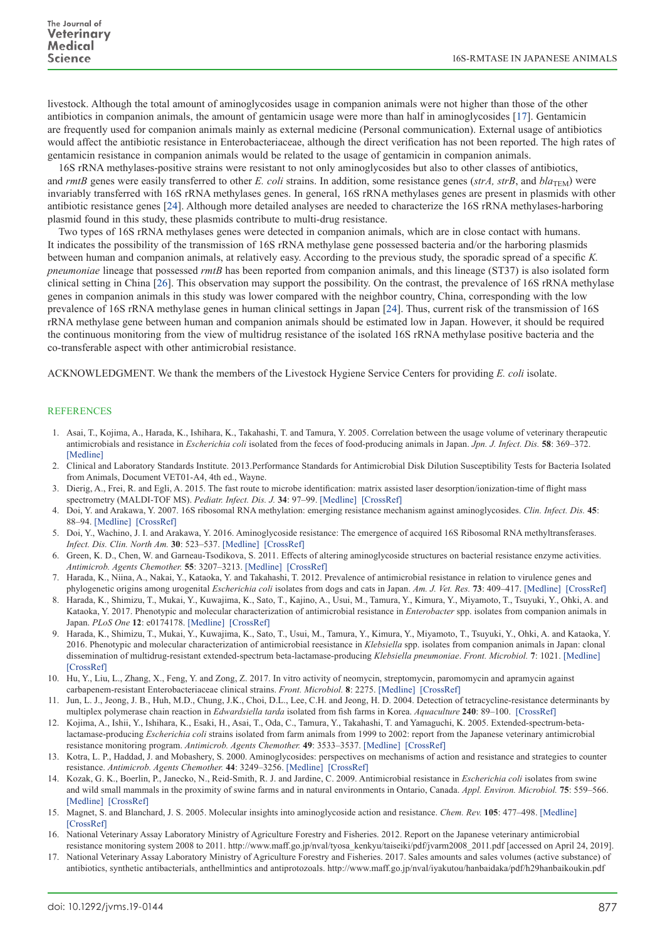livestock. Although the total amount of aminoglycosides usage in companion animals were not higher than those of the other antibiotics in companion animals, the amount of gentamicin usage were more than half in aminoglycosides [\[17\]](#page-3-3). Gentamicin are frequently used for companion animals mainly as external medicine (Personal communication). External usage of antibiotics would affect the antibiotic resistance in Enterobacteriaceae, although the direct verification has not been reported. The high rates of gentamicin resistance in companion animals would be related to the usage of gentamicin in companion animals.

16S rRNA methylases-positive strains were resistant to not only aminoglycosides but also to other classes of antibiotics, and *rmtB* genes were easily transferred to other *E. coli* strains. In addition, some resistance genes ( $strA$ ,  $strB$ , and  $bla_{\text{TEM}}$ ) were invariably transferred with 16S rRNA methylases genes. In general, 16S rRNA methylases genes are present in plasmids with other antibiotic resistance genes [[24](#page-4-3)]. Although more detailed analyses are needed to characterize the 16S rRNA methylases-harboring plasmid found in this study, these plasmids contribute to multi-drug resistance.

Two types of 16S rRNA methylases genes were detected in companion animals, which are in close contact with humans. It indicates the possibility of the transmission of 16S rRNA methylase gene possessed bacteria and/or the harboring plasmids between human and companion animals, at relatively easy. According to the previous study, the sporadic spread of a specific *K. pneumoniae* lineage that possessed *rmtB* has been reported from companion animals, and this lineage (ST37) is also isolated form clinical setting in China [[26](#page-4-6)]. This observation may support the possibility. On the contrast, the prevalence of 16S rRNA methylase genes in companion animals in this study was lower compared with the neighbor country, China, corresponding with the low prevalence of 16S rRNA methylase genes in human clinical settings in Japan [[24](#page-4-3)]. Thus, current risk of the transmission of 16S rRNA methylase gene between human and companion animals should be estimated low in Japan. However, it should be required the continuous monitoring from the view of multidrug resistance of the isolated 16S rRNA methylase positive bacteria and the co-transferable aspect with other antimicrobial resistance.

ACKNOWLEDGMENT. We thank the members of the Livestock Hygiene Service Centers for providing *E. coli* isolate.

## **REFERENCES**

- <span id="page-3-15"></span>1. Asai, T., Kojima, A., Harada, K., Ishihara, K., Takahashi, T. and Tamura, Y. 2005. Correlation between the usage volume of veterinary therapeutic antimicrobials and resistance in *Escherichia coli* isolated from the feces of food-producing animals in Japan. *Jpn. J. Infect. Dis.* **58**: 369–372. [\[Medline\]](http://www.ncbi.nlm.nih.gov/pubmed/16377870?dopt=Abstract)
- <span id="page-3-9"></span>2. Clinical and Laboratory Standards Institute. 2013.Performance Standards for Antimicrobial Disk Dilution Susceptibility Tests for Bacteria Isolated from Animals, Document VET01-A4, 4th ed., Wayne.
- <span id="page-3-8"></span>3. Dierig, A., Frei, R. and Egli, A. 2015. The fast route to microbe identification: matrix assisted laser desorption/ionization-time of flight mass spectrometry (MALDI-TOF MS). *Pediatr. Infect. Dis. J.* **34**: 97–99. [\[Medline\]](http://www.ncbi.nlm.nih.gov/pubmed/25741802?dopt=Abstract) [\[CrossRef\]](http://dx.doi.org/10.1097/INF.0000000000000601)
- <span id="page-3-11"></span>4. Doi, Y. and Arakawa, Y. 2007. 16S ribosomal RNA methylation: emerging resistance mechanism against aminoglycosides. *Clin. Infect. Dis.* **45**: 88–94. [\[Medline\]](http://www.ncbi.nlm.nih.gov/pubmed/17554708?dopt=Abstract) [\[CrossRef\]](http://dx.doi.org/10.1086/518605)
- <span id="page-3-5"></span>5. Doi, Y., Wachino, J. I. and Arakawa, Y. 2016. Aminoglycoside resistance: The emergence of acquired 16S Ribosomal RNA methyltransferases. *Infect. Dis. Clin. North Am.* **30**: 523–537. [\[Medline\]](http://www.ncbi.nlm.nih.gov/pubmed/27208771?dopt=Abstract) [\[CrossRef\]](http://dx.doi.org/10.1016/j.idc.2016.02.011)
- 6. Green, K. D., Chen, W. and Garneau-Tsodikova, S. 2011. Effects of altering aminoglycoside structures on bacterial resistance enzyme activities. *Antimicrob. Agents Chemother.* **55**: 3207–3213. [\[Medline\]](http://www.ncbi.nlm.nih.gov/pubmed/21537023?dopt=Abstract) [\[CrossRef\]](http://dx.doi.org/10.1128/AAC.00312-11)
- <span id="page-3-1"></span>7. Harada, K., Niina, A., Nakai, Y., Kataoka, Y. and Takahashi, T. 2012. Prevalence of antimicrobial resistance in relation to virulence genes and phylogenetic origins among urogenital *Escherichia coli* isolates from dogs and cats in Japan. *Am. J. Vet. Res.* **73**: 409–417. [\[Medline\]](http://www.ncbi.nlm.nih.gov/pubmed/22369535?dopt=Abstract) [\[CrossRef\]](http://dx.doi.org/10.2460/ajvr.73.3.409)
- <span id="page-3-7"></span>8. Harada, K., Shimizu, T., Mukai, Y., Kuwajima, K., Sato, T., Kajino, A., Usui, M., Tamura, Y., Kimura, Y., Miyamoto, T., Tsuyuki, Y., Ohki, A. and Kataoka, Y. 2017. Phenotypic and molecular characterization of antimicrobial resistance in *Enterobacter* spp. isolates from companion animals in Japan. *PLoS One* **12**: e0174178. [\[Medline\]](http://www.ncbi.nlm.nih.gov/pubmed/28328967?dopt=Abstract) [\[CrossRef\]](http://dx.doi.org/10.1371/journal.pone.0174178)
- <span id="page-3-6"></span>Harada, K., Shimizu, T., Mukai, Y., Kuwajima, K., Sato, T., Usui, M., Tamura, Y., Kimura, Y., Miyamoto, T., Tsuyuki, Y., Ohki, A. and Kataoka, Y. 2016. Phenotypic and molecular characterization of antimicrobial reesistance in *Klebsiella* spp. isolates from companion animals in Japan: clonal dissemination of multidrug-resistant extended-spectrum beta-lactamase-producing *Klebsiella pneumoniae*. *Front. Microbiol.* **7**: 1021. [\[Medline\]](http://www.ncbi.nlm.nih.gov/pubmed/27446056?dopt=Abstract)  [\[CrossRef\]](http://dx.doi.org/10.3389/fmicb.2016.01021)
- <span id="page-3-10"></span>10. Hu, Y., Liu, L., Zhang, X., Feng, Y. and Zong, Z. 2017. In vitro activity of neomycin, streptomycin, paromomycin and apramycin against carbapenem-resistant Enterobacteriaceae clinical strains. *Front. Microbiol.* **8**: 2275. [\[Medline\]](http://www.ncbi.nlm.nih.gov/pubmed/29250040?dopt=Abstract) [\[CrossRef\]](http://dx.doi.org/10.3389/fmicb.2017.02275)
- <span id="page-3-14"></span>11. Jun, L. J., Jeong, J. B., Huh, M.D., Chung, J.K., Choi, D.L., Lee, C.H. and Jeong, H. D. 2004. Detection of tetracycline-resistance determinants by multiplex polymerase chain reaction in *Edwardsiella tarda* isolated from fish farms in Korea. *Aquaculture* **240**: 89–100. [\[CrossRef\]](http://dx.doi.org/10.1016/j.aquaculture.2004.07.025)
- <span id="page-3-13"></span>12. Kojima, A., Ishii, Y., Ishihara, K., Esaki, H., Asai, T., Oda, C., Tamura, Y., Takahashi, T. and Yamaguchi, K. 2005. Extended-spectrum-betalactamase-producing *Escherichia coli* strains isolated from farm animals from 1999 to 2002: report from the Japanese veterinary antimicrobial resistance monitoring program. *Antimicrob. Agents Chemother.* **49**: 3533–3537. [\[Medline\]](http://www.ncbi.nlm.nih.gov/pubmed/16048977?dopt=Abstract) [\[CrossRef\]](http://dx.doi.org/10.1128/AAC.49.8.3533-3537.2005)
- <span id="page-3-2"></span>13. Kotra, L. P., Haddad, J. and Mobashery, S. 2000. Aminoglycosides: perspectives on mechanisms of action and resistance and strategies to counter resistance. *Antimicrob. Agents Chemother.* **44**: 3249–3256. [\[Medline\]](http://www.ncbi.nlm.nih.gov/pubmed/11083623?dopt=Abstract) [\[CrossRef\]](http://dx.doi.org/10.1128/AAC.44.12.3249-3256.2000)
- <span id="page-3-12"></span>14. Kozak, G. K., Boerlin, P., Janecko, N., Reid-Smith, R. J. and Jardine, C. 2009. Antimicrobial resistance in *Escherichia coli* isolates from swine and wild small mammals in the proximity of swine farms and in natural environments in Ontario, Canada. *Appl. Environ. Microbiol.* **75**: 559–566. [\[Medline\]](http://www.ncbi.nlm.nih.gov/pubmed/19047381?dopt=Abstract) [\[CrossRef\]](http://dx.doi.org/10.1128/AEM.01821-08)
- <span id="page-3-4"></span>15. Magnet, S. and Blanchard, J. S. 2005. Molecular insights into aminoglycoside action and resistance. *Chem. Rev.* **105**: 477–498. [\[Medline\]](http://www.ncbi.nlm.nih.gov/pubmed/15700953?dopt=Abstract)  [\[CrossRef\]](http://dx.doi.org/10.1021/cr0301088)
- <span id="page-3-0"></span>16. National Veterinary Assay Laboratory Ministry of Agriculture Forestry and Fisheries. 2012. Report on the Japanese veterinary antimicrobial resistance monitoring system 2008 to 2011. http://www.maff.go.jp/nval/tyosa\_kenkyu/taiseiki/pdf/jvarm2008\_2011.pdf [accessed on April 24, 2019].
- <span id="page-3-3"></span>17. National Veterinary Assay Laboratory Ministry of Agriculture Forestry and Fisheries. 2017. Sales amounts and sales volumes (active substance) of antibiotics, synthetic antibacterials, anthellmintics and antiprotozoals. http://www.maff.go.jp/nval/iyakutou/hanbaidaka/pdf/h29hanbaikoukin.pdf